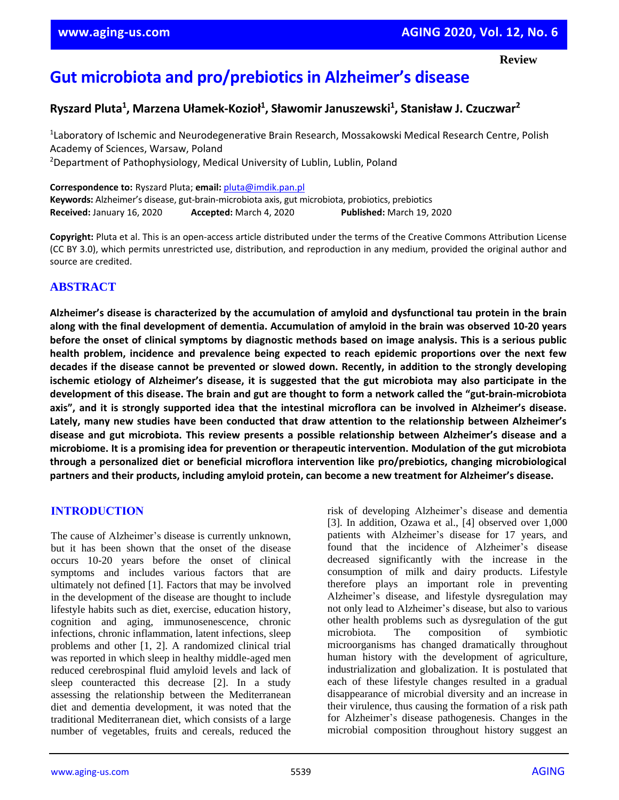# **Gut microbiota and pro/prebiotics in Alzheimer's disease**

## **Ryszard Pluta<sup>1</sup> , Marzena Ułamek-Kozioł<sup>1</sup> , Sławomir Januszewski<sup>1</sup> , Stanisław J. Czuczwar<sup>2</sup>**

<sup>1</sup> Laboratory of Ischemic and Neurodegenerative Brain Research, Mossakowski Medical Research Centre, Polish Academy of Sciences, Warsaw, Poland <sup>2</sup>Department of Pathophysiology, Medical University of Lublin, Lublin, Poland

**Correspondence to:** Ryszard Pluta; **email:** [pluta@imdik.pan.pl](mailto:pluta@imdik.pan.pl) **Keywords:** Alzheimer's disease, gut-brain-microbiota axis, gut microbiota, probiotics, prebiotics **Received:** January 16, 2020 **Accepted:** March 4, 2020 **Published:** March 19, 2020

**Copyright:** Pluta et al. This is an open-access article distributed under the terms of the Creative Commons Attribution License (CC BY 3.0), which permits unrestricted use, distribution, and reproduction in any medium, provided the original author and source are credited.

## **ABSTRACT**

**Alzheimer's disease is characterized by the accumulation of amyloid and dysfunctional tau protein in the brain** along with the final development of dementia. Accumulation of amyloid in the brain was observed 10-20 years before the onset of clinical symptoms by diagnostic methods based on image analysis. This is a serious public **health problem, incidence and prevalence being expected to reach epidemic proportions over the next few** decades if the disease cannot be prevented or slowed down. Recently, in addition to the strongly developing ischemic etiology of Alzheimer's disease, it is suggested that the gut microbiota may also participate in the development of this disease. The brain and gut are thought to form a network called the "gut-brain-microbiota axis", and it is strongly supported idea that the intestinal microflora can be involved in Alzheimer's disease. **Lately, many new studies have been conducted that draw attention to the relationship between Alzheimer's disease and gut microbiota. This review presents a possible relationship between Alzheimer's disease and a microbiome. It is a promising idea for prevention or therapeutic intervention. Modulation of the gut microbiota through a personalized diet or beneficial microflora intervention like pro/prebiotics, changing microbiological partners and their products, including amyloid protein, can become a new treatment for Alzheimer's disease.**

## **INTRODUCTION**

The cause of Alzheimer's disease is currently unknown, but it has been shown that the onset of the disease occurs 10-20 years before the onset of clinical symptoms and includes various factors that are ultimately not defined [1]. Factors that may be involved in the development of the disease are thought to include lifestyle habits such as diet, exercise, education history, cognition and aging, immunosenescence, chronic infections, chronic inflammation, latent infections, sleep problems and other [1, 2]. A randomized clinical trial was reported in which sleep in healthy middle-aged men reduced cerebrospinal fluid amyloid levels and lack of sleep counteracted this decrease [2]. In a study assessing the relationship between the Mediterranean diet and dementia development, it was noted that the traditional Mediterranean diet, which consists of a large number of vegetables, fruits and cereals, reduced the risk of developing Alzheimer's disease and dementia [3]. In addition, Ozawa et al., [4] observed over 1,000 patients with Alzheimer's disease for 17 years, and found that the incidence of Alzheimer's disease decreased significantly with the increase in the consumption of milk and dairy products. Lifestyle therefore plays an important role in preventing Alzheimer's disease, and lifestyle dysregulation may not only lead to Alzheimer's disease, but also to various other health problems such as dysregulation of the gut microbiota. The composition of symbiotic microorganisms has changed dramatically throughout human history with the development of agriculture, industrialization and globalization. It is postulated that each of these lifestyle changes resulted in a gradual disappearance of microbial diversity and an increase in their virulence, thus causing the formation of a risk path for Alzheimer's disease pathogenesis. Changes in the microbial composition throughout history suggest an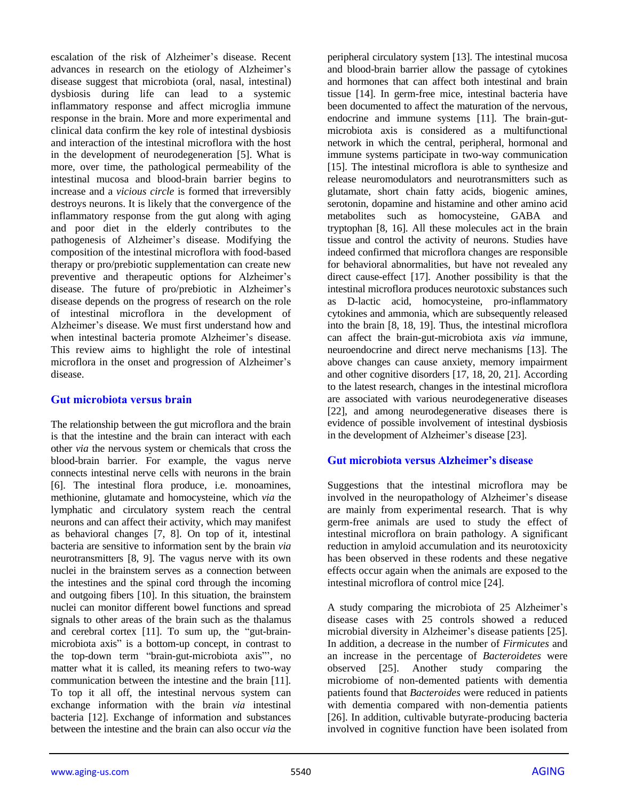escalation of the risk of Alzheimer's disease. Recent advances in research on the etiology of Alzheimer's disease suggest that microbiota (oral, nasal, intestinal) dysbiosis during life can lead to a systemic inflammatory response and affect microglia immune response in the brain. More and more experimental and clinical data confirm the key role of intestinal dysbiosis and interaction of the intestinal microflora with the host in the development of neurodegeneration [5]. What is more, over time, the pathological permeability of the intestinal mucosa and blood-brain barrier begins to increase and a *vicious circle* is formed that irreversibly destroys neurons. It is likely that the convergence of the inflammatory response from the gut along with aging and poor diet in the elderly contributes to the pathogenesis of Alzheimer's disease. Modifying the composition of the intestinal microflora with food-based therapy or pro/prebiotic supplementation can create new preventive and therapeutic options for Alzheimer's disease. The future of pro/prebiotic in Alzheimer's disease depends on the progress of research on the role of intestinal microflora in the development of Alzheimer's disease. We must first understand how and when intestinal bacteria promote Alzheimer's disease. This review aims to highlight the role of intestinal microflora in the onset and progression of Alzheimer's disease.

#### **Gut microbiota versus brain**

The relationship between the gut microflora and the brain is that the intestine and the brain can interact with each other *via* the nervous system or chemicals that cross the blood-brain barrier. For example, the vagus nerve connects intestinal nerve cells with neurons in the brain [6]. The intestinal flora produce, i.e. monoamines, methionine, glutamate and homocysteine, which *via* the lymphatic and circulatory system reach the central neurons and can affect their activity, which may manifest as behavioral changes [7, 8]. On top of it, intestinal bacteria are sensitive to information sent by the brain *via* neurotransmitters [8, 9]. The vagus nerve with its own nuclei in the brainstem serves as a connection between the intestines and the spinal cord through the incoming and outgoing fibers [10]. In this situation, the brainstem nuclei can monitor different bowel functions and spread signals to other areas of the brain such as the thalamus and cerebral cortex [11]. To sum up, the "gut-brainmicrobiota axis" is a bottom-up concept, in contrast to the top-down term "brain-gut-microbiota axis"', no matter what it is called, its meaning refers to two-way communication between the intestine and the brain [11]. To top it all off, the intestinal nervous system can exchange information with the brain *via* intestinal bacteria [12]. Exchange of information and substances between the intestine and the brain can also occur *via* the peripheral circulatory system [13]. The intestinal mucosa and blood-brain barrier allow the passage of cytokines and hormones that can affect both intestinal and brain tissue [14]. In germ-free mice, intestinal bacteria have been documented to affect the maturation of the nervous, endocrine and immune systems [11]. The brain-gutmicrobiota axis is considered as a multifunctional network in which the central, peripheral, hormonal and immune systems participate in two-way communication [15]. The intestinal microflora is able to synthesize and release neuromodulators and neurotransmitters such as glutamate, short chain fatty acids, biogenic amines, serotonin, dopamine and histamine and other amino acid metabolites such as homocysteine, GABA and tryptophan [8, 16]. All these molecules act in the brain tissue and control the activity of neurons. Studies have indeed confirmed that microflora changes are responsible for behavioral abnormalities, but have not revealed any direct cause-effect [17]. Another possibility is that the intestinal microflora produces neurotoxic substances such as D-lactic acid, homocysteine, pro-inflammatory cytokines and ammonia, which are subsequently released into the brain [8, 18, 19]. Thus, the intestinal microflora can affect the brain-gut-microbiota axis *via* immune, neuroendocrine and direct nerve mechanisms [13]. The above changes can cause anxiety, memory impairment and other cognitive disorders [17, 18, 20, 21]. According to the latest research, changes in the intestinal microflora are associated with various neurodegenerative diseases [22], and among neurodegenerative diseases there is evidence of possible involvement of intestinal dysbiosis in the development of Alzheimer's disease [23].

#### **Gut microbiota versus Alzheimer's disease**

Suggestions that the intestinal microflora may be involved in the neuropathology of Alzheimer's disease are mainly from experimental research. That is why germ-free animals are used to study the effect of intestinal microflora on brain pathology. A significant reduction in amyloid accumulation and its neurotoxicity has been observed in these rodents and these negative effects occur again when the animals are exposed to the intestinal microflora of control mice [24].

A study comparing the microbiota of 25 Alzheimer's disease cases with 25 controls showed a reduced microbial diversity in Alzheimer's disease patients [25]. In addition, a decrease in the number of *Firmicutes* and an increase in the percentage of *Bacteroidetes* were observed [25]. Another study comparing the microbiome of non-demented patients with dementia patients found that *Bacteroides* were reduced in patients with dementia compared with non-dementia patients [26]. In addition, cultivable butyrate-producing bacteria involved in cognitive function have been isolated from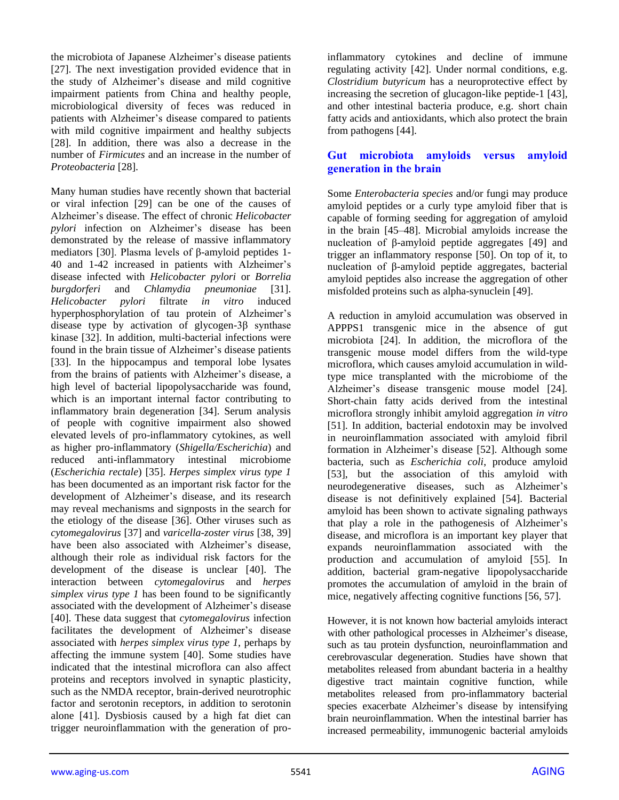the microbiota of Japanese Alzheimer's disease patients [27]. The next investigation provided evidence that in the study of Alzheimer's disease and mild cognitive impairment patients from China and healthy people, microbiological diversity of feces was reduced in patients with Alzheimer's disease compared to patients with mild cognitive impairment and healthy subjects [28]. In addition, there was also a decrease in the number of *Firmicutes* and an increase in the number of *Proteobacteria* [28].

Many human studies have recently shown that bacterial or viral infection [29] can be one of the causes of Alzheimer's disease. The effect of chronic *Helicobacter pylori* infection on Alzheimer's disease has been demonstrated by the release of massive inflammatory mediators [30]. Plasma levels of β-amyloid peptides 1- 40 and 1-42 increased in patients with Alzheimer's disease infected with *Helicobacter pylori* or *Borrelia burgdorferi* and *Chlamydia pneumoniae* [31]. *Helicobacter pylori* filtrate *in vitro* induced hyperphosphorylation of tau protein of Alzheimer's disease type by activation of glycogen-3β synthase kinase [32]. In addition, multi-bacterial infections were found in the brain tissue of Alzheimer's disease patients [33]. In the hippocampus and temporal lobe lysates from the brains of patients with Alzheimer's disease, a high level of bacterial lipopolysaccharide was found, which is an important internal factor contributing to inflammatory brain degeneration [34]. Serum analysis of people with cognitive impairment also showed elevated levels of pro-inflammatory cytokines, as well as higher pro-inflammatory (*Shigella/Escherichia*) and reduced anti-inflammatory intestinal microbiome (*Escherichia rectale*) [35]. *Herpes simplex virus type 1* has been documented as an important risk factor for the development of Alzheimer's disease, and its research may reveal mechanisms and signposts in the search for the etiology of the disease [36]. Other viruses such as *cytomegalovirus* [37] and *varicella-zoster virus* [38, 39] have been also associated with Alzheimer's disease, although their role as individual risk factors for the development of the disease is unclear [40]. The interaction between *cytomegalovirus* and *herpes simplex virus type 1* has been found to be significantly associated with the development of Alzheimer's disease [40]. These data suggest that *cytomegalovirus* infection facilitates the development of Alzheimer's disease associated with *herpes simplex virus type 1,* perhaps by affecting the immune system [40]. Some studies have indicated that the intestinal microflora can also affect proteins and receptors involved in synaptic plasticity, such as the NMDA receptor, brain-derived neurotrophic factor and serotonin receptors, in addition to serotonin alone [41]. Dysbiosis caused by a high fat diet can trigger neuroinflammation with the generation of proinflammatory cytokines and decline of immune regulating activity [42]. Under normal conditions, e.g. *Clostridium butyricum* has a neuroprotective effect by increasing the secretion of glucagon-like peptide-1 [43], and other intestinal bacteria produce, e.g. short chain fatty acids and antioxidants, which also protect the brain from pathogens [44].

## **Gut microbiota amyloids versus amyloid generation in the brain**

Some *Enterobacteria species* and/or fungi may produce amyloid peptides or a curly type amyloid fiber that is capable of forming seeding for aggregation of amyloid in the brain [45–48]. Microbial amyloids increase the nucleation of β-amyloid peptide aggregates [49] and trigger an inflammatory response [50]. On top of it, to nucleation of β-amyloid peptide aggregates, bacterial amyloid peptides also increase the aggregation of other misfolded proteins such as alpha-synuclein [49].

A reduction in amyloid accumulation was observed in APPPS1 transgenic mice in the absence of gut microbiota [24]. In addition, the microflora of the transgenic mouse model differs from the wild-type microflora, which causes amyloid accumulation in wildtype mice transplanted with the microbiome of the Alzheimer's disease transgenic mouse model [24]. Short-chain fatty acids derived from the intestinal microflora strongly inhibit amyloid aggregation *in vitro* [51]. In addition, bacterial endotoxin may be involved in neuroinflammation associated with amyloid fibril formation in Alzheimer's disease [52]. Although some bacteria, such as *Escherichia coli*, produce amyloid [53], but the association of this amyloid with neurodegenerative diseases, such as Alzheimer's disease is not definitively explained [54]. Bacterial amyloid has been shown to activate signaling pathways that play a role in the pathogenesis of Alzheimer's disease, and microflora is an important key player that expands neuroinflammation associated with the production and accumulation of amyloid [55]. In addition, bacterial gram-negative lipopolysaccharide promotes the accumulation of amyloid in the brain of mice, negatively affecting cognitive functions [56, 57].

However, it is not known how bacterial amyloids interact with other pathological processes in Alzheimer's disease, such as tau protein dysfunction, neuroinflammation and cerebrovascular degeneration. Studies have shown that metabolites released from abundant bacteria in a healthy digestive tract maintain cognitive function, while metabolites released from pro-inflammatory bacterial species exacerbate Alzheimer's disease by intensifying brain neuroinflammation. When the intestinal barrier has increased permeability, immunogenic bacterial amyloids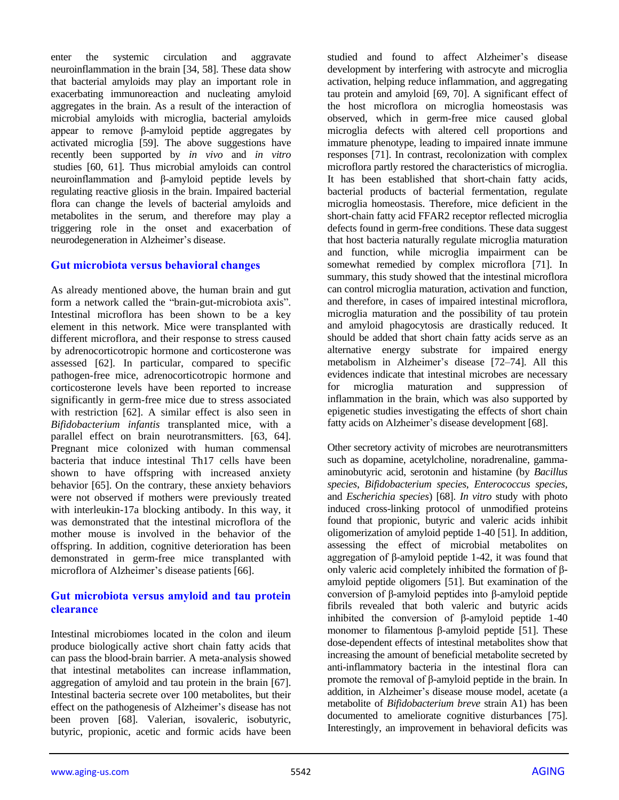enter the systemic circulation and aggravate neuroinflammation in the brain [34, 58]. These data show that bacterial amyloids may play an important role in exacerbating immunoreaction and nucleating amyloid aggregates in the brain. As a result of the interaction of microbial amyloids with microglia, bacterial amyloids appear to remove β-amyloid peptide aggregates by activated microglia [59]. The above suggestions have recently been supported by *in vivo* and *in vitro* studies [60, 61]. Thus microbial amyloids can control neuroinflammation and β-amyloid peptide levels by regulating reactive gliosis in the brain. Impaired bacterial flora can change the levels of bacterial amyloids and metabolites in the serum, and therefore may play a triggering role in the onset and exacerbation of neurodegeneration in Alzheimer's disease.

#### **Gut microbiota versus behavioral changes**

As already mentioned above, the human brain and gut form a network called the "brain-gut-microbiota axis". Intestinal microflora has been shown to be a key element in this network. Mice were transplanted with different microflora, and their response to stress caused by adrenocorticotropic hormone and corticosterone was assessed [62]. In particular, compared to specific pathogen-free mice, adrenocorticotropic hormone and corticosterone levels have been reported to increase significantly in germ-free mice due to stress associated with restriction [62]. A similar effect is also seen in *Bifidobacterium infantis* transplanted mice, with a parallel effect on brain neurotransmitters. [63, 64]. Pregnant mice colonized with human commensal bacteria that induce intestinal Th17 cells have been shown to have offspring with increased anxiety behavior [65]. On the contrary, these anxiety behaviors were not observed if mothers were previously treated with interleukin-17a blocking antibody. In this way, it was demonstrated that the intestinal microflora of the mother mouse is involved in the behavior of the offspring. In addition, cognitive deterioration has been demonstrated in germ-free mice transplanted with microflora of Alzheimer's disease patients [66].

## **Gut microbiota versus amyloid and tau protein clearance**

Intestinal microbiomes located in the colon and ileum produce biologically active short chain fatty acids that can pass the blood-brain barrier. A meta-analysis showed that intestinal metabolites can increase inflammation, aggregation of amyloid and tau protein in the brain [67]. Intestinal bacteria secrete over 100 metabolites, but their effect on the pathogenesis of Alzheimer's disease has not been proven [68]. Valerian, isovaleric, isobutyric, butyric, propionic, acetic and formic acids have been studied and found to affect Alzheimer's disease development by interfering with astrocyte and microglia activation, helping reduce inflammation, and aggregating tau protein and amyloid [69, 70]. A significant effect of the host microflora on microglia homeostasis was observed, which in germ-free mice caused global microglia defects with altered cell proportions and immature phenotype, leading to impaired innate immune responses [71]. In contrast, recolonization with complex microflora partly restored the characteristics of microglia. It has been established that short-chain fatty acids, bacterial products of bacterial fermentation, regulate microglia homeostasis. Therefore, mice deficient in the short-chain fatty acid FFAR2 receptor reflected microglia defects found in germ-free conditions. These data suggest that host bacteria naturally regulate microglia maturation and function, while microglia impairment can be somewhat remedied by complex microflora [71]. In summary, this study showed that the intestinal microflora can control microglia maturation, activation and function, and therefore, in cases of impaired intestinal microflora, microglia maturation and the possibility of tau protein and amyloid phagocytosis are drastically reduced. It should be added that short chain fatty acids serve as an alternative energy substrate for impaired energy metabolism in Alzheimer's disease [72–74]. All this evidences indicate that intestinal microbes are necessary for microglia maturation and suppression of inflammation in the brain, which was also supported by epigenetic studies investigating the effects of short chain fatty acids on Alzheimer's disease development [68].

Other secretory activity of microbes are neurotransmitters such as dopamine, acetylcholine, noradrenaline, gammaaminobutyric acid, serotonin and histamine (by *Bacillus species*, *Bifidobacterium species*, *Enterococcus species*, and *Escherichia species*) [68]. *In vitro* study with photo induced cross-linking protocol of unmodified proteins found that propionic, butyric and valeric acids inhibit oligomerization of amyloid peptide 1-40 [51]. In addition, assessing the effect of microbial metabolites on aggregation of β-amyloid peptide 1-42, it was found that only valeric acid completely inhibited the formation of βamyloid peptide oligomers [51]. But examination of the conversion of β-amyloid peptides into β-amyloid peptide fibrils revealed that both valeric and butyric acids inhibited the conversion of β-amyloid peptide 1-40 monomer to filamentous β-amyloid peptide [51]. These dose-dependent effects of intestinal metabolites show that increasing the amount of beneficial metabolite secreted by anti-inflammatory bacteria in the intestinal flora can promote the removal of β-amyloid peptide in the brain. In addition, in Alzheimer's disease mouse model, acetate (a metabolite of *Bifidobacterium breve* strain A1) has been documented to ameliorate cognitive disturbances [75]. Interestingly, an improvement in behavioral deficits was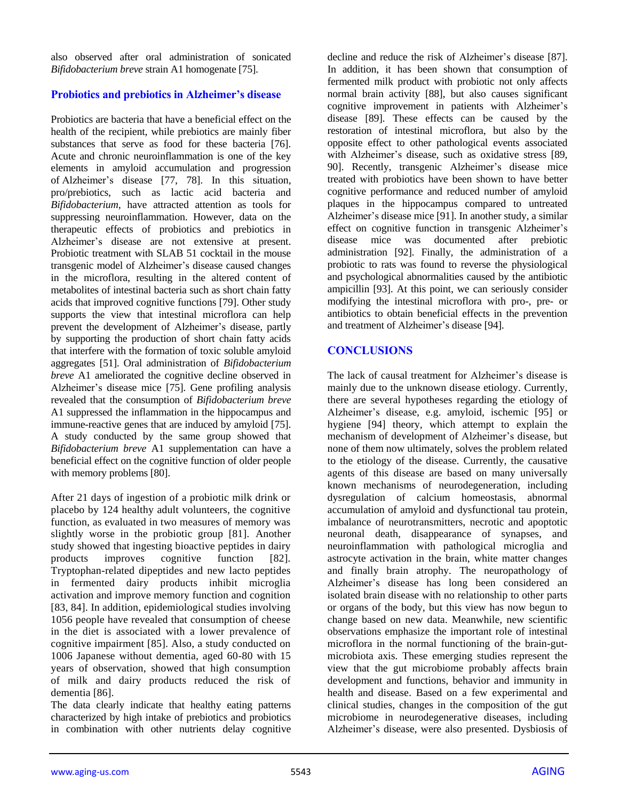also observed after oral administration of sonicated *Bifidobacterium breve* strain A1 homogenate [75].

## **Probiotics and prebiotics in Alzheimer's disease**

Probiotics are bacteria that have a beneficial effect on the health of the recipient, while prebiotics are mainly fiber substances that serve as food for these bacteria [76]. Acute and chronic neuroinflammation is one of the key elements in amyloid accumulation and progression of Alzheimer's disease [77, 78]. In this situation, pro/prebiotics, such as lactic acid bacteria and *Bifidobacterium*, have attracted attention as tools for suppressing neuroinflammation. However, data on the therapeutic effects of probiotics and prebiotics in Alzheimer's disease are not extensive at present. Probiotic treatment with SLAB 51 cocktail in the mouse transgenic model of Alzheimer's disease caused changes in the microflora, resulting in the altered content of metabolites of intestinal bacteria such as short chain fatty acids that improved cognitive functions [79]. Other study supports the view that intestinal microflora can help prevent the development of Alzheimer's disease, partly by supporting the production of short chain fatty acids that interfere with the formation of toxic soluble amyloid aggregates [51]. Oral administration of *Bifidobacterium breve* A1 ameliorated the cognitive decline observed in Alzheimer's disease mice [75]. Gene profiling analysis revealed that the consumption of *Bifidobacterium breve* A1 suppressed the inflammation in the hippocampus and immune-reactive genes that are induced by amyloid [75]. A study conducted by the same group showed that *Bifidobacterium breve* A1 supplementation can have a beneficial effect on the cognitive function of older people with memory problems [80].

After 21 days of ingestion of a probiotic milk drink or placebo by 124 healthy adult volunteers, the cognitive function, as evaluated in two measures of memory was slightly worse in the probiotic group [81]. Another study showed that ingesting bioactive peptides in dairy products improves cognitive function [82]. Tryptophan-related dipeptides and new lacto peptides in fermented dairy products inhibit microglia activation and improve memory function and cognition [83, 84]. In addition, epidemiological studies involving 1056 people have revealed that consumption of cheese in the diet is associated with a lower prevalence of cognitive impairment [85]. Also, a study conducted on 1006 Japanese without dementia, aged 60-80 with 15 years of observation, showed that high consumption of milk and dairy products reduced the risk of dementia [86].

The data clearly indicate that healthy eating patterns characterized by high intake of prebiotics and probiotics in combination with other nutrients delay cognitive decline and reduce the risk of Alzheimer's disease [87]. In addition, it has been shown that consumption of fermented milk product with probiotic not only affects normal brain activity [88], but also causes significant cognitive improvement in patients with Alzheimer's disease [89]. These effects can be caused by the restoration of intestinal microflora, but also by the opposite effect to other pathological events associated with Alzheimer's disease, such as oxidative stress [89, 90]. Recently, transgenic Alzheimer's disease mice treated with probiotics have been shown to have better cognitive performance and reduced number of amyloid plaques in the hippocampus compared to untreated Alzheimer's disease mice [91]. In another study, a similar effect on cognitive function in transgenic Alzheimer's disease mice was documented after prebiotic administration [92]. Finally, the administration of a probiotic to rats was found to reverse the physiological and psychological abnormalities caused by the antibiotic ampicillin [93]. At this point, we can seriously consider modifying the intestinal microflora with pro-, pre- or antibiotics to obtain beneficial effects in the prevention and treatment of Alzheimer's disease [94].

## **CONCLUSIONS**

The lack of causal treatment for Alzheimer's disease is mainly due to the unknown disease etiology. Currently, there are several hypotheses regarding the etiology of Alzheimer's disease, e.g. amyloid, ischemic [95] or hygiene [94] theory, which attempt to explain the mechanism of development of Alzheimer's disease, but none of them now ultimately, solves the problem related to the etiology of the disease. Currently, the causative agents of this disease are based on many universally known mechanisms of neurodegeneration, including dysregulation of calcium homeostasis, abnormal accumulation of amyloid and dysfunctional tau protein, imbalance of neurotransmitters, necrotic and apoptotic neuronal death, disappearance of synapses, and neuroinflammation with pathological microglia and astrocyte activation in the brain, white matter changes and finally brain atrophy. The neuropathology of Alzheimer's disease has long been considered an isolated brain disease with no relationship to other parts or organs of the body, but this view has now begun to change based on new data. Meanwhile, new scientific observations emphasize the important role of intestinal microflora in the normal functioning of the brain-gutmicrobiota axis. These emerging studies represent the view that the gut microbiome probably affects brain development and functions, behavior and immunity in health and disease. Based on a few experimental and clinical studies, changes in the composition of the gut microbiome in neurodegenerative diseases, including Alzheimer's disease, were also presented. Dysbiosis of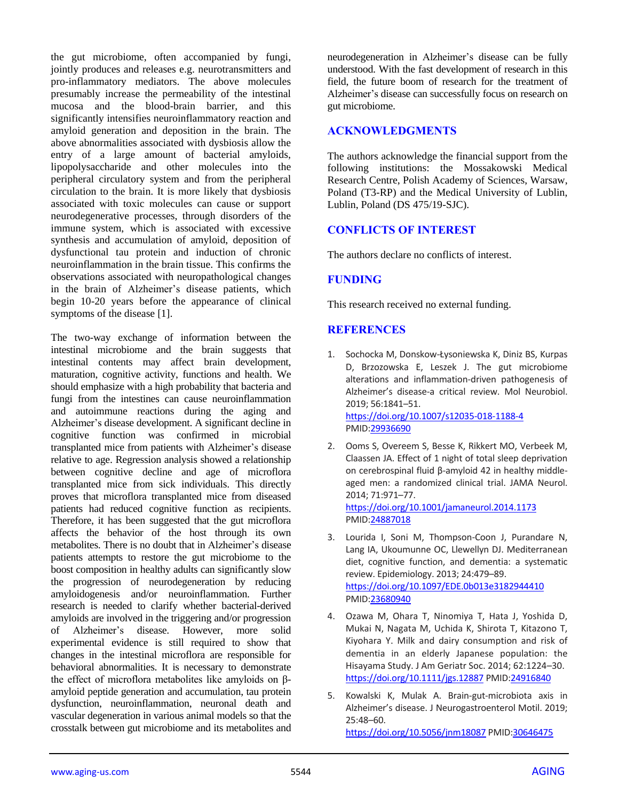the gut microbiome, often accompanied by fungi, jointly produces and releases e.g. neurotransmitters and pro-inflammatory mediators. The above molecules presumably increase the permeability of the intestinal mucosa and the blood-brain barrier, and this significantly intensifies neuroinflammatory reaction and amyloid generation and deposition in the brain. The above abnormalities associated with dysbiosis allow the entry of a large amount of bacterial amyloids, lipopolysaccharide and other molecules into the peripheral circulatory system and from the peripheral circulation to the brain. It is more likely that dysbiosis associated with toxic molecules can cause or support neurodegenerative processes, through disorders of the immune system, which is associated with excessive synthesis and accumulation of amyloid, deposition of dysfunctional tau protein and induction of chronic neuroinflammation in the brain tissue. This confirms the observations associated with neuropathological changes in the brain of Alzheimer's disease patients, which begin 10-20 years before the appearance of clinical symptoms of the disease [1].

The two-way exchange of information between the intestinal microbiome and the brain suggests that intestinal contents may affect brain development, maturation, cognitive activity, functions and health. We should emphasize with a high probability that bacteria and fungi from the intestines can cause neuroinflammation and autoimmune reactions during the aging and Alzheimer's disease development. A significant decline in cognitive function was confirmed in microbial transplanted mice from patients with Alzheimer's disease relative to age. Regression analysis showed a relationship between cognitive decline and age of microflora transplanted mice from sick individuals. This directly proves that microflora transplanted mice from diseased patients had reduced cognitive function as recipients. Therefore, it has been suggested that the gut microflora affects the behavior of the host through its own metabolites. There is no doubt that in Alzheimer's disease patients attempts to restore the gut microbiome to the boost composition in healthy adults can significantly slow the progression of neurodegeneration by reducing amyloidogenesis and/or neuroinflammation. Further research is needed to clarify whether bacterial-derived amyloids are involved in the triggering and/or progression of Alzheimer's disease. However, more solid experimental evidence is still required to show that changes in the intestinal microflora are responsible for behavioral abnormalities. It is necessary to demonstrate the effect of microflora metabolites like amyloids on βamyloid peptide generation and accumulation, tau protein dysfunction, neuroinflammation, neuronal death and vascular degeneration in various animal models so that the crosstalk between gut microbiome and its metabolites and

neurodegeneration in Alzheimer's disease can be fully understood. With the fast development of research in this field, the future boom of research for the treatment of Alzheimer's disease can successfully focus on research on gut microbiome.

#### **ACKNOWLEDGMENTS**

The authors acknowledge the financial support from the following institutions: the Mossakowski Medical Research Centre, Polish Academy of Sciences, Warsaw, Poland (T3-RP) and the Medical University of Lublin, Lublin, Poland (DS 475/19-SJC).

#### **CONFLICTS OF INTEREST**

The authors declare no conflicts of interest.

#### **FUNDING**

This research received no external funding.

#### **REFERENCES**

- 1. Sochocka M, Donskow-Łysoniewska K, Diniz BS, Kurpas D, Brzozowska E, Leszek J. The gut microbiome alterations and inflammation-driven pathogenesis of Alzheimer's disease-a critical review. Mol Neurobiol. 2019; 56:1841–51. <https://doi.org/10.1007/s12035-018-1188-4> PMI[D:29936690](https://www.ncbi.nlm.nih.gov/pubmed/29936690)
- 2. Ooms S, Overeem S, Besse K, Rikkert MO, Verbeek M, Claassen JA. Effect of 1 night of total sleep deprivation on cerebrospinal fluid β-amyloid 42 in healthy middleaged men: a randomized clinical trial. JAMA Neurol. 2014; 71:971–77. <https://doi.org/10.1001/jamaneurol.2014.1173>
	- PMI[D:24887018](https://www.ncbi.nlm.nih.gov/pubmed/24887018)
- 3. Lourida I, Soni M, Thompson-Coon J, Purandare N, Lang IA, Ukoumunne OC, Llewellyn DJ. Mediterranean diet, cognitive function, and dementia: a systematic review. Epidemiology. 2013; 24:479–89. <https://doi.org/10.1097/EDE.0b013e3182944410> PMI[D:23680940](https://www.ncbi.nlm.nih.gov/pubmed/23680940)
- 4. Ozawa M, Ohara T, Ninomiya T, Hata J, Yoshida D, Mukai N, Nagata M, Uchida K, Shirota T, Kitazono T, Kiyohara Y. Milk and dairy consumption and risk of dementia in an elderly Japanese population: the Hisayama Study. J Am Geriatr Soc. 2014; 62:1224–30. <https://doi.org/10.1111/jgs.12887> PMID[:24916840](https://www.ncbi.nlm.nih.gov/pubmed/24916840)
- 5. Kowalski K, Mulak A. Brain-gut-microbiota axis in Alzheimer's disease. J Neurogastroenterol Motil. 2019; 25:48–60. <https://doi.org/10.5056/jnm18087> PMI[D:30646475](https://www.ncbi.nlm.nih.gov/pubmed/30646475)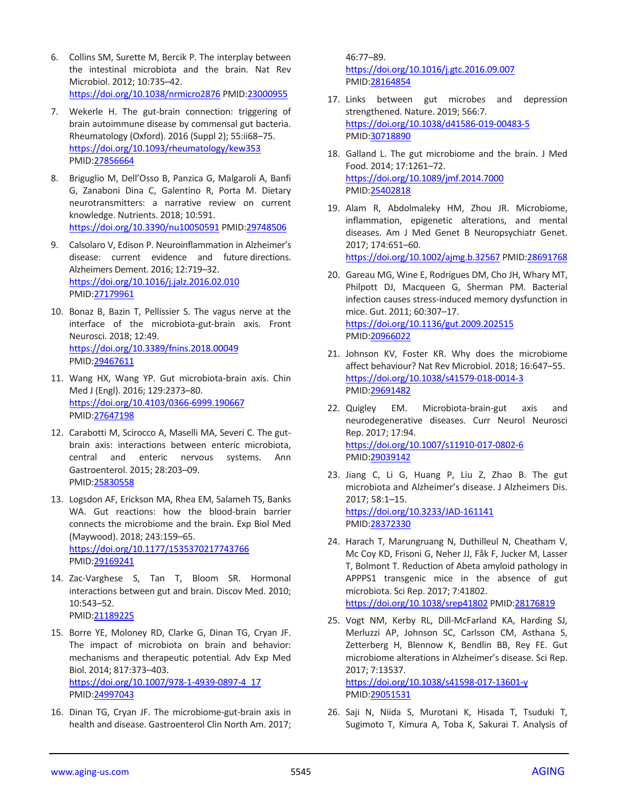- 6. Collins SM, Surette M, Bercik P. The interplay between the intestinal microbiota and the brain. Nat Rev Microbiol. 2012; 10:735–42. <https://doi.org/10.1038/nrmicro2876> PMID[:23000955](https://www.ncbi.nlm.nih.gov/pubmed/23000955)
- 7. Wekerle H. The gut-brain connection: triggering of brain autoimmune disease by commensal gut bacteria. Rheumatology (Oxford). 2016 (Suppl 2); 55:ii68–75. <https://doi.org/10.1093/rheumatology/kew353> PMID[:27856664](https://www.ncbi.nlm.nih.gov/pubmed/27856664)
- 8. Briguglio M, Dell'Osso B, Panzica G, Malgaroli A, Banfi G, Zanaboni Dina C, Galentino R, Porta M. Dietary neurotransmitters: a narrative review on current knowledge. Nutrients. 2018; 10:591. <https://doi.org/10.3390/nu10050591> PMID[:29748506](https://www.ncbi.nlm.nih.gov/pubmed/29748506)
- 9. Calsolaro V, Edison P. Neuroinflammation in Alzheimer's disease: current evidence and future directions. Alzheimers Dement. 2016; 12:719–32. <https://doi.org/10.1016/j.jalz.2016.02.010> PMID[:27179961](https://www.ncbi.nlm.nih.gov/pubmed/27179961)
- 10. Bonaz B, Bazin T, Pellissier S. The vagus nerve at the interface of the microbiota-gut-brain axis. Front Neurosci. 2018; 12:49. <https://doi.org/10.3389/fnins.2018.00049> PMID[:29467611](https://www.ncbi.nlm.nih.gov/pubmed/29467611)
- 11. Wang HX, Wang YP. Gut microbiota-brain axis. Chin Med J (Engl). 2016; 129:2373–80. <https://doi.org/10.4103/0366-6999.190667> PMID[:27647198](https://www.ncbi.nlm.nih.gov/pubmed/27647198)
- 12. Carabotti M, Scirocco A, Maselli MA, Severi C. The gutbrain axis: interactions between enteric microbiota, central and enteric nervous systems. Ann Gastroenterol. 2015; 28:203–09. PMID[:25830558](https://www.ncbi.nlm.nih.gov/pubmed/25830558)
- 13. Logsdon AF, Erickson MA, Rhea EM, Salameh TS, Banks WA. Gut reactions: how the blood-brain barrier connects the microbiome and the brain. Exp Biol Med (Maywood). 2018; 243:159–65. <https://doi.org/10.1177/1535370217743766> PMID[:29169241](https://www.ncbi.nlm.nih.gov/pubmed/29169241)
- 14. Zac-Varghese S, Tan T, Bloom SR. Hormonal interactions between gut and brain. Discov Med. 2010; 10:543–52. PMID[:21189225](https://www.ncbi.nlm.nih.gov/pubmed/21189225)
- 15. Borre YE, Moloney RD, Clarke G, Dinan TG, Cryan JF. The impact of microbiota on brain and behavior: mechanisms and therapeutic potential. Adv Exp Med Biol. 2014; 817:373–403. [https://doi.org/10.1007/978-1-4939-0897-4\\_17](https://doi.org/10.1007/978-1-4939-0897-4_17) PMID[:24997043](https://www.ncbi.nlm.nih.gov/pubmed/24997043)
- 16. Dinan TG, Cryan JF. The microbiome-gut-brain axis in health and disease. Gastroenterol Clin North Am. 2017;

46:77–89. <https://doi.org/10.1016/j.gtc.2016.09.007> PMI[D:28164854](https://www.ncbi.nlm.nih.gov/pubmed/28164854)

- 17. Links between gut microbes and depression strengthened. Nature. 2019; 566:7. <https://doi.org/10.1038/d41586-019-00483-5> PMI[D:30718890](https://www.ncbi.nlm.nih.gov/pubmed/30718890)
- 18. Galland L. The gut microbiome and the brain. J Med Food. 2014; 17:1261–72. <https://doi.org/10.1089/jmf.2014.7000> PMI[D:25402818](https://www.ncbi.nlm.nih.gov/pubmed/25402818)
- 19. Alam R, Abdolmaleky HM, Zhou JR. Microbiome, inflammation, epigenetic alterations, and mental diseases. Am J Med Genet B Neuropsychiatr Genet. 2017; 174:651–60. <https://doi.org/10.1002/ajmg.b.32567> PMI[D:28691768](https://www.ncbi.nlm.nih.gov/pubmed/28691768)
- 20. Gareau MG, Wine E, Rodrigues DM, Cho JH, Whary MT, Philpott DJ, Macqueen G, Sherman PM. Bacterial infection causes stress-induced memory dysfunction in mice. Gut. 2011; 60:307–17. <https://doi.org/10.1136/gut.2009.202515> PMI[D:20966022](https://www.ncbi.nlm.nih.gov/pubmed/20966022)
- 21. Johnson KV, Foster KR. Why does the microbiome affect behaviour? Nat Rev Microbiol. 2018; 16:647–55. <https://doi.org/10.1038/s41579-018-0014-3> PMI[D:29691482](https://www.ncbi.nlm.nih.gov/pubmed/29691482)
- 22. Quigley EM. Microbiota-brain-gut axis and neurodegenerative diseases. Curr Neurol Neurosci Rep. 2017; 17:94. <https://doi.org/10.1007/s11910-017-0802-6> PMI[D:29039142](https://www.ncbi.nlm.nih.gov/pubmed/29039142)
- 23. Jiang C, Li G, Huang P, Liu Z, Zhao B. The gut microbiota and Alzheimer's disease. J Alzheimers Dis. 2017; 58:1–15. <https://doi.org/10.3233/JAD-161141> PMI[D:28372330](https://www.ncbi.nlm.nih.gov/pubmed/28372330)
- 24. Harach T, Marungruang N, Duthilleul N, Cheatham V, Mc Coy KD, Frisoni G, Neher JJ, Fåk F, Jucker M, Lasser T, Bolmont T. Reduction of Abeta amyloid pathology in APPPS1 transgenic mice in the absence of gut microbiota. Sci Rep. 2017; 7:41802. <https://doi.org/10.1038/srep41802> PMID[:28176819](https://www.ncbi.nlm.nih.gov/pubmed/28176819)
- 25. Vogt NM, Kerby RL, Dill-McFarland KA, Harding SJ, Merluzzi AP, Johnson SC, Carlsson CM, Asthana S, Zetterberg H, Blennow K, Bendlin BB, Rey FE. Gut microbiome alterations in Alzheimer's disease. Sci Rep. 2017; 7:13537. <https://doi.org/10.1038/s41598-017-13601-y> PMI[D:29051531](https://www.ncbi.nlm.nih.gov/pubmed/29051531)
- 26. Saji N, Niida S, Murotani K, Hisada T, Tsuduki T, Sugimoto T, Kimura A, Toba K, Sakurai T. Analysis of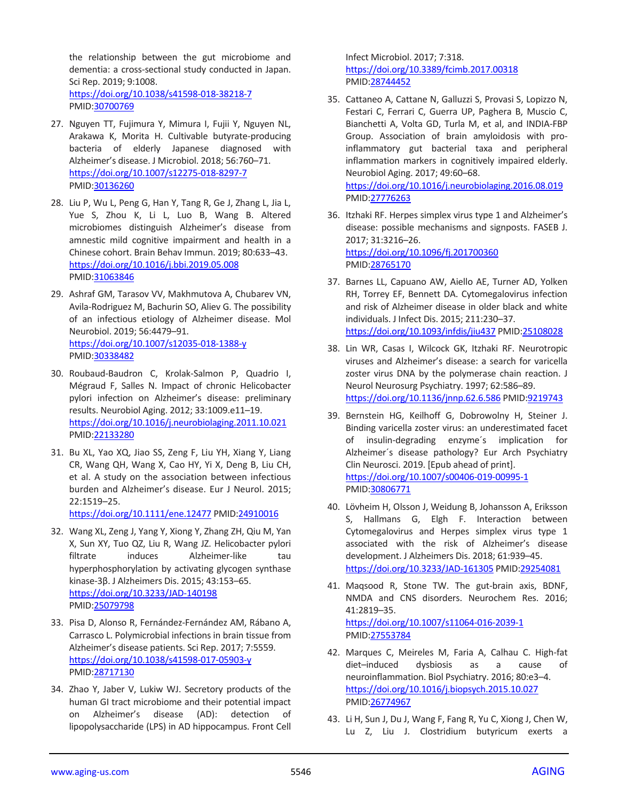the relationship between the gut microbiome and dementia: a cross-sectional study conducted in Japan. Sci Rep. 2019; 9:1008. <https://doi.org/10.1038/s41598-018-38218-7> PMID[:30700769](https://www.ncbi.nlm.nih.gov/pubmed/30700769)

- 27. Nguyen TT, Fujimura Y, Mimura I, Fujii Y, Nguyen NL, Arakawa K, Morita H. Cultivable butyrate-producing bacteria of elderly Japanese diagnosed with Alzheimer's disease. J Microbiol. 2018; 56:760–71. <https://doi.org/10.1007/s12275-018-8297-7> PMID[:30136260](https://www.ncbi.nlm.nih.gov/pubmed/30136260)
- 28. Liu P, Wu L, Peng G, Han Y, Tang R, Ge J, Zhang L, Jia L, Yue S, Zhou K, Li L, Luo B, Wang B. Altered microbiomes distinguish Alzheimer's disease from amnestic mild cognitive impairment and health in a Chinese cohort. Brain Behav Immun. 2019; 80:633–43. <https://doi.org/10.1016/j.bbi.2019.05.008> PMID[:31063846](https://www.ncbi.nlm.nih.gov/pubmed/31063846)
- 29. Ashraf GM, Tarasov VV, Makhmutovа A, Chubarev VN, Avila-Rodriguez M, Bachurin SO, Aliev G. The possibility of an infectious etiology of Alzheimer disease. Mol Neurobiol. 2019; 56:4479–91. <https://doi.org/10.1007/s12035-018-1388-y> PMID[:30338482](https://www.ncbi.nlm.nih.gov/pubmed/30338482)
- 30. Roubaud-Baudron C, Krolak-Salmon P, Quadrio I, Mégraud F, Salles N. Impact of chronic Helicobacter pylori infection on Alzheimer's disease: preliminary results. Neurobiol Aging. 2012; 33:1009.e11–19. <https://doi.org/10.1016/j.neurobiolaging.2011.10.021> PMID[:22133280](https://www.ncbi.nlm.nih.gov/pubmed/22133280)
- 31. Bu XL, Yao XQ, Jiao SS, Zeng F, Liu YH, Xiang Y, Liang CR, Wang QH, Wang X, Cao HY, Yi X, Deng B, Liu CH, et al. A study on the association between infectious burden and Alzheimer's disease. Eur J Neurol. 2015; 22:1519–25.

<https://doi.org/10.1111/ene.12477> PMID[:24910016](https://www.ncbi.nlm.nih.gov/pubmed/24910016)

- 32. Wang XL, Zeng J, Yang Y, Xiong Y, Zhang ZH, Qiu M, Yan X, Sun XY, Tuo QZ, Liu R, Wang JZ. Helicobacter pylori filtrate induces Alzheimer-like tau hyperphosphorylation by activating glycogen synthase kinase-3β. J Alzheimers Dis. 2015; 43:153–65. <https://doi.org/10.3233/JAD-140198> PMID[:25079798](https://www.ncbi.nlm.nih.gov/pubmed/25079798)
- 33. Pisa D, Alonso R, Fernández-Fernández AM, Rábano A, Carrasco L. Polymicrobial infections in brain tissue from Alzheimer's disease patients. Sci Rep. 2017; 7:5559. <https://doi.org/10.1038/s41598-017-05903-y> PMID[:28717130](https://www.ncbi.nlm.nih.gov/pubmed/28717130)
- 34. Zhao Y, Jaber V, Lukiw WJ. Secretory products of the human GI tract microbiome and their potential impact on Alzheimer's disease (AD): detection of lipopolysaccharide (LPS) in AD hippocampus. Front Cell

Infect Microbiol. 2017; 7:318. <https://doi.org/10.3389/fcimb.2017.00318> PMI[D:28744452](https://www.ncbi.nlm.nih.gov/pubmed/28744452)

- 35. Cattaneo A, Cattane N, Galluzzi S, Provasi S, Lopizzo N, Festari C, Ferrari C, Guerra UP, Paghera B, Muscio C, Bianchetti A, Volta GD, Turla M, et al, and INDIA-FBP Group. Association of brain amyloidosis with proinflammatory gut bacterial taxa and peripheral inflammation markers in cognitively impaired elderly. Neurobiol Aging. 2017; 49:60–68. <https://doi.org/10.1016/j.neurobiolaging.2016.08.019> PMI[D:27776263](https://www.ncbi.nlm.nih.gov/pubmed/27776263)
- 36. Itzhaki RF. Herpes simplex virus type 1 and Alzheimer's disease: possible mechanisms and signposts. FASEB J. 2017; 31:3216–26. <https://doi.org/10.1096/fj.201700360> PMI[D:28765170](https://www.ncbi.nlm.nih.gov/pubmed/28765170)
- 37. Barnes LL, Capuano AW, Aiello AE, Turner AD, Yolken RH, Torrey EF, Bennett DA. Cytomegalovirus infection and risk of Alzheimer disease in older black and white individuals. J Infect Dis. 2015; 211:230–37. <https://doi.org/10.1093/infdis/jiu437> PMID[:25108028](https://www.ncbi.nlm.nih.gov/pubmed/25108028)
- 38. Lin WR, Casas I, Wilcock GK, Itzhaki RF. Neurotropic viruses and Alzheimer's disease: a search for varicella zoster virus DNA by the polymerase chain reaction. J Neurol Neurosurg Psychiatry. 1997; 62:586–89. <https://doi.org/10.1136/jnnp.62.6.586> PMID[:9219743](https://www.ncbi.nlm.nih.gov/pubmed/9219743)
- 39. Bernstein HG, Keilhoff G, Dobrowolny H, Steiner J. Binding varicella zoster virus: an underestimated facet of insulin-degrading enzyme´s implication for Alzheimer´s disease pathology? Eur Arch Psychiatry Clin Neurosci. 2019. [Epub ahead of print]. <https://doi.org/10.1007/s00406-019-00995-1> PMI[D:30806771](https://www.ncbi.nlm.nih.gov/pubmed/30806771)
- 40. Lövheim H, Olsson J, Weidung B, Johansson A, Eriksson S, Hallmans G, Elgh F. Interaction between Cytomegalovirus and Herpes simplex virus type 1 associated with the risk of Alzheimer's disease development. J Alzheimers Dis. 2018; 61:939–45. <https://doi.org/10.3233/JAD-161305> PMID[:29254081](https://www.ncbi.nlm.nih.gov/pubmed/29254081)
- 41. Maqsood R, Stone TW. The gut-brain axis, BDNF, NMDA and CNS disorders. Neurochem Res. 2016; 41:2819–35. <https://doi.org/10.1007/s11064-016-2039-1> PMI[D:27553784](https://www.ncbi.nlm.nih.gov/pubmed/27553784)
- 42. Marques C, Meireles M, Faria A, Calhau C. High-fat diet–induced dysbiosis as a cause of neuroinflammation. Biol Psychiatry. 2016; 80:e3–4. <https://doi.org/10.1016/j.biopsych.2015.10.027> PMI[D:26774967](https://www.ncbi.nlm.nih.gov/pubmed/26774967)
- 43. Li H, Sun J, Du J, Wang F, Fang R, Yu C, Xiong J, Chen W, Lu Z, Liu J. Clostridium butyricum exerts a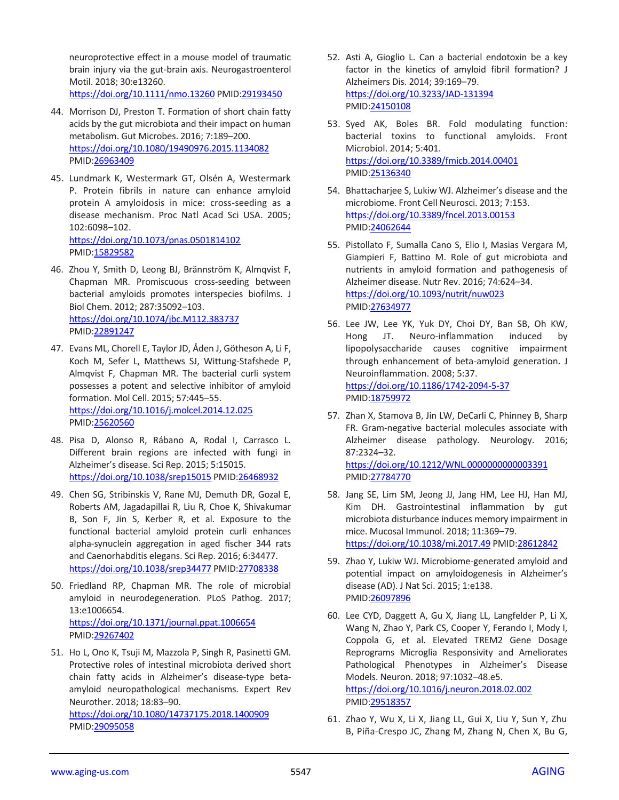neuroprotective effect in a mouse model of traumatic brain injury via the gut-brain axis. Neurogastroenterol Motil. 2018; 30:e13260. <https://doi.org/10.1111/nmo.13260> PMID[:29193450](https://www.ncbi.nlm.nih.gov/pubmed/29193450)

- 44. Morrison DJ, Preston T. Formation of short chain fatty acids by the gut microbiota and their impact on human metabolism. Gut Microbes. 2016; 7:189–200. <https://doi.org/10.1080/19490976.2015.1134082> PMID[:26963409](https://www.ncbi.nlm.nih.gov/pubmed/26963409)
- 45. Lundmark K, Westermark GT, Olsén A, Westermark P. Protein fibrils in nature can enhance amyloid protein A amyloidosis in mice: cross-seeding as a disease mechanism. Proc Natl Acad Sci USA. 2005; 102:6098–102. <https://doi.org/10.1073/pnas.0501814102> PMID[:15829582](https://www.ncbi.nlm.nih.gov/pubmed/15829582)
- 46. Zhou Y, Smith D, Leong BJ, Brännström K, Almqvist F, Chapman MR. Promiscuous cross-seeding between bacterial amyloids promotes interspecies biofilms. J Biol Chem. 2012; 287:35092–103. <https://doi.org/10.1074/jbc.M112.383737> PMID[:22891247](https://www.ncbi.nlm.nih.gov/pubmed/22891247)
- 47. Evans ML, Chorell E, Taylor JD, Åden J, Götheson A, Li F, Koch M, Sefer L, Matthews SJ, Wittung-Stafshede P, Almqvist F, Chapman MR. The bacterial curli system possesses a potent and selective inhibitor of amyloid formation. Mol Cell. 2015; 57:445–55. <https://doi.org/10.1016/j.molcel.2014.12.025> PMID[:25620560](https://www.ncbi.nlm.nih.gov/pubmed/25620560)
- 48. Pisa D, Alonso R, Rábano A, Rodal I, Carrasco L. Different brain regions are infected with fungi in Alzheimer's disease. Sci Rep. 2015; 5:15015. <https://doi.org/10.1038/srep15015> PMID[:26468932](https://www.ncbi.nlm.nih.gov/pubmed/26468932)
- 49. Chen SG, Stribinskis V, Rane MJ, Demuth DR, Gozal E, Roberts AM, Jagadapillai R, Liu R, Choe K, Shivakumar B, Son F, Jin S, Kerber R, et al. Exposure to the functional bacterial amyloid protein curli enhances alpha-synuclein aggregation in aged fischer 344 rats and Caenorhabditis elegans. Sci Rep. 2016; 6:34477. <https://doi.org/10.1038/srep34477> PMID[:27708338](https://www.ncbi.nlm.nih.gov/pubmed/27708338)
- 50. Friedland RP, Chapman MR. The role of microbial amyloid in neurodegeneration. PLoS Pathog. 2017; 13:e1006654. <https://doi.org/10.1371/journal.ppat.1006654> PMID[:29267402](https://www.ncbi.nlm.nih.gov/pubmed/29267402)
- 51. Ho L, Ono K, Tsuji M, Mazzola P, Singh R, Pasinetti GM. Protective roles of intestinal microbiota derived short chain fatty acids in Alzheimer's disease-type betaamyloid neuropathological mechanisms. Expert Rev Neurother. 2018; 18:83–90. <https://doi.org/10.1080/14737175.2018.1400909> PMID[:29095058](https://www.ncbi.nlm.nih.gov/pubmed/29095058)
- 52. Asti A, Gioglio L. Can a bacterial endotoxin be a key factor in the kinetics of amyloid fibril formation? J Alzheimers Dis. 2014; 39:169–79. <https://doi.org/10.3233/JAD-131394> PMI[D:24150108](https://www.ncbi.nlm.nih.gov/pubmed/24150108)
- 53. Syed AK, Boles BR. Fold modulating function: bacterial toxins to functional amyloids. Front Microbiol. 2014; 5:401. <https://doi.org/10.3389/fmicb.2014.00401> PMI[D:25136340](https://www.ncbi.nlm.nih.gov/pubmed/25136340)
- 54. Bhattacharjee S, Lukiw WJ. Alzheimer's disease and the microbiome. Front Cell Neurosci. 2013; 7:153. <https://doi.org/10.3389/fncel.2013.00153> PMI[D:24062644](https://www.ncbi.nlm.nih.gov/pubmed/24062644)
- 55. Pistollato F, Sumalla Cano S, Elio I, Masias Vergara M, Giampieri F, Battino M. Role of gut microbiota and nutrients in amyloid formation and pathogenesis of Alzheimer disease. Nutr Rev. 2016; 74:624–34. <https://doi.org/10.1093/nutrit/nuw023> PMI[D:27634977](https://www.ncbi.nlm.nih.gov/pubmed/27634977)
- 56. Lee JW, Lee YK, Yuk DY, Choi DY, Ban SB, Oh KW, Hong JT. Neuro-inflammation induced by lipopolysaccharide causes cognitive impairment through enhancement of beta-amyloid generation. J Neuroinflammation. 2008; 5:37. <https://doi.org/10.1186/1742-2094-5-37> PMI[D:18759972](https://www.ncbi.nlm.nih.gov/pubmed/18759972)
- 57. Zhan X, Stamova B, Jin LW, DeCarli C, Phinney B, Sharp FR. Gram-negative bacterial molecules associate with Alzheimer disease pathology. Neurology. 2016; 87:2324–32. <https://doi.org/10.1212/WNL.0000000000003391> PMI[D:27784770](https://www.ncbi.nlm.nih.gov/pubmed/27784770)
- 58. Jang SE, Lim SM, Jeong JJ, Jang HM, Lee HJ, Han MJ, Kim DH. Gastrointestinal inflammation by gut microbiota disturbance induces memory impairment in mice. Mucosal Immunol. 2018; 11:369–79. <https://doi.org/10.1038/mi.2017.49> PMID[:28612842](https://www.ncbi.nlm.nih.gov/pubmed/28612842)
- 59. Zhao Y, Lukiw WJ. Microbiome-generated amyloid and potential impact on amyloidogenesis in Alzheimer's disease (AD). J Nat Sci. 2015; 1:e138. PMI[D:26097896](https://www.ncbi.nlm.nih.gov/pubmed/26097896)
- 60. Lee CYD, Daggett A, Gu X, Jiang LL, Langfelder P, Li X, Wang N, Zhao Y, Park CS, Cooper Y, Ferando I, Mody I, Coppola G, et al. Elevated TREM2 Gene Dosage Reprograms Microglia Responsivity and Ameliorates Pathological Phenotypes in Alzheimer's Disease Models. Neuron. 2018; 97:1032–48.e5. <https://doi.org/10.1016/j.neuron.2018.02.002> PMI[D:29518357](https://www.ncbi.nlm.nih.gov/pubmed/29518357)
- 61. Zhao Y, Wu X, Li X, Jiang LL, Gui X, Liu Y, Sun Y, Zhu B, Piña-Crespo JC, Zhang M, Zhang N, Chen X, Bu G,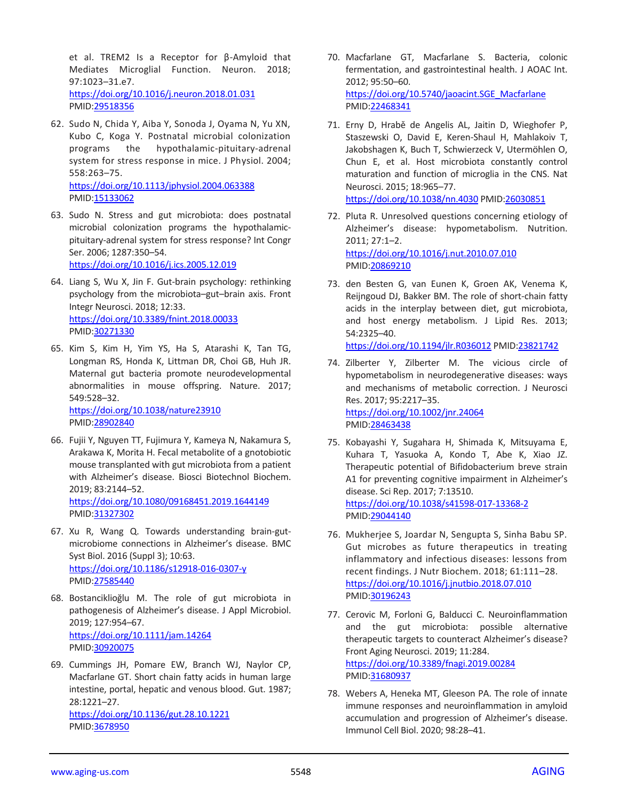et al. TREM2 Is a Receptor for β-Amyloid that Mediates Microglial Function. Neuron. 2018; 97:1023–31.e7. <https://doi.org/10.1016/j.neuron.2018.01.031> PMID[:29518356](https://www.ncbi.nlm.nih.gov/pubmed/29518356)

- 62. Sudo N, Chida Y, Aiba Y, Sonoda J, Oyama N, Yu XN, Kubo C, Koga Y. Postnatal microbial colonization programs the hypothalamic-pituitary-adrenal system for stress response in mice. J Physiol. 2004; 558:263–75. <https://doi.org/10.1113/jphysiol.2004.063388> PMID[:15133062](https://www.ncbi.nlm.nih.gov/pubmed/15133062)
- 63. Sudo N. Stress and gut microbiota: does postnatal microbial colonization programs the hypothalamicpituitary-adrenal system for stress response? Int Congr Ser. 2006; 1287:350–54.

<https://doi.org/10.1016/j.ics.2005.12.019>

- 64. Liang S, Wu X, Jin F. Gut-brain psychology: rethinking psychology from the microbiota–gut–brain axis. Front Integr Neurosci. 2018; 12:33. <https://doi.org/10.3389/fnint.2018.00033> PMID[:30271330](https://www.ncbi.nlm.nih.gov/pubmed/30271330)
- 65. Kim S, Kim H, Yim YS, Ha S, Atarashi K, Tan TG, Longman RS, Honda K, Littman DR, Choi GB, Huh JR. Maternal gut bacteria promote neurodevelopmental abnormalities in mouse offspring. Nature. 2017; 549:528–32. <https://doi.org/10.1038/nature23910> PMID[:28902840](https://www.ncbi.nlm.nih.gov/pubmed/28902840)
- 66. Fujii Y, Nguyen TT, Fujimura Y, Kameya N, Nakamura S, Arakawa K, Morita H. Fecal metabolite of a gnotobiotic mouse transplanted with gut microbiota from a patient with Alzheimer's disease. Biosci Biotechnol Biochem. 2019; 83:2144–52. <https://doi.org/10.1080/09168451.2019.1644149> PMID[:31327302](https://www.ncbi.nlm.nih.gov/pubmed/31327302)
- 67. Xu R, Wang Q. Towards understanding brain-gutmicrobiome connections in Alzheimer's disease. BMC Syst Biol. 2016 (Suppl 3); 10:63. <https://doi.org/10.1186/s12918-016-0307-y> PMID[:27585440](https://www.ncbi.nlm.nih.gov/pubmed/27585440)
- 68. Bostanciklioğlu M. The role of gut microbiota in pathogenesis of Alzheimer's disease. J Appl Microbiol. 2019; 127:954–67. <https://doi.org/10.1111/jam.14264> PMID[:30920075](https://www.ncbi.nlm.nih.gov/pubmed/30920075)
- 69. Cummings JH, Pomare EW, Branch WJ, Naylor CP, Macfarlane GT. Short chain fatty acids in human large intestine, portal, hepatic and venous blood. Gut. 1987; 28:1221–27. <https://doi.org/10.1136/gut.28.10.1221> PMID[:3678950](https://www.ncbi.nlm.nih.gov/pubmed/3678950)
- 70. Macfarlane GT, Macfarlane S. Bacteria, colonic fermentation, and gastrointestinal health. J AOAC Int. 2012; 95:50–60. [https://doi.org/10.5740/jaoacint.SGE\\_Macfarlane](https://doi.org/10.5740/jaoacint.SGE_Macfarlane) PMI[D:22468341](https://www.ncbi.nlm.nih.gov/pubmed/22468341)
- 71. Erny D, Hrabě de Angelis AL, Jaitin D, Wieghofer P, Staszewski O, David E, Keren-Shaul H, Mahlakoiv T, Jakobshagen K, Buch T, Schwierzeck V, Utermöhlen O, Chun E, et al. Host microbiota constantly control maturation and function of microglia in the CNS. Nat Neurosci. 2015; 18:965–77. <https://doi.org/10.1038/nn.4030> PMID[:26030851](https://www.ncbi.nlm.nih.gov/pubmed/26030851)
- 72. Pluta R. Unresolved questions concerning etiology of Alzheimer's disease: hypometabolism. Nutrition. 2011; 27:1–2. <https://doi.org/10.1016/j.nut.2010.07.010> PMI[D:20869210](https://www.ncbi.nlm.nih.gov/pubmed/20869210)
- 73. den Besten G, van Eunen K, Groen AK, Venema K, Reijngoud DJ, Bakker BM. The role of short-chain fatty acids in the interplay between diet, gut microbiota, and host energy metabolism. J Lipid Res. 2013; 54:2325–40.

<https://doi.org/10.1194/jlr.R036012> PMI[D:23821742](https://www.ncbi.nlm.nih.gov/pubmed/23821742)

- 74. Zilberter Y, Zilberter M. The vicious circle of hypometabolism in neurodegenerative diseases: ways and mechanisms of metabolic correction. J Neurosci Res. 2017; 95:2217–35. <https://doi.org/10.1002/jnr.24064> PMI[D:28463438](https://www.ncbi.nlm.nih.gov/pubmed/28463438)
- 75. Kobayashi Y, Sugahara H, Shimada K, Mitsuyama E, Kuhara T, Yasuoka A, Kondo T, Abe K, Xiao JZ. Therapeutic potential of Bifidobacterium breve strain A1 for preventing cognitive impairment in Alzheimer's disease. Sci Rep. 2017; 7:13510. <https://doi.org/10.1038/s41598-017-13368-2> PMI[D:29044140](https://www.ncbi.nlm.nih.gov/pubmed/29044140)
- 76. Mukherjee S, Joardar N, Sengupta S, Sinha Babu SP. Gut microbes as future therapeutics in treating inflammatory and infectious diseases: lessons from recent findings. J Nutr Biochem. 2018; 61:111–28. <https://doi.org/10.1016/j.jnutbio.2018.07.010> PMI[D:30196243](https://www.ncbi.nlm.nih.gov/pubmed/30196243)
- 77. Cerovic M, Forloni G, Balducci C. Neuroinflammation and the gut microbiota: possible alternative therapeutic targets to counteract Alzheimer's disease? Front Aging Neurosci. 2019; 11:284. <https://doi.org/10.3389/fnagi.2019.00284> PMI[D:31680937](https://www.ncbi.nlm.nih.gov/pubmed/31680937)
- 78. Webers A, Heneka MT, Gleeson PA. The role of innate immune responses and neuroinflammation in amyloid accumulation and progression of Alzheimer's disease. Immunol Cell Biol. 2020; 98:28–41.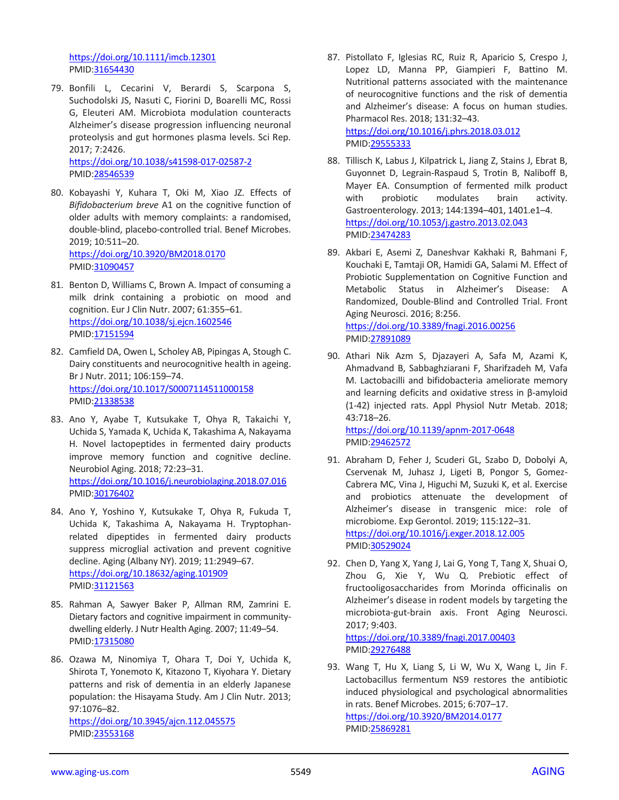<https://doi.org/10.1111/imcb.12301> PMID[:31654430](https://www.ncbi.nlm.nih.gov/pubmed/31654430)

79. Bonfili L, Cecarini V, Berardi S, Scarpona S, Suchodolski JS, Nasuti C, Fiorini D, Boarelli MC, Rossi G, Eleuteri AM. Microbiota modulation counteracts Alzheimer's disease progression influencing neuronal proteolysis and gut hormones plasma levels. Sci Rep. 2017; 7:2426.

<https://doi.org/10.1038/s41598-017-02587-2> PMID[:28546539](https://www.ncbi.nlm.nih.gov/pubmed/28546539)

- 80. Kobayashi Y, Kuhara T, Oki M, Xiao JZ. Effects of *Bifidobacterium breve* A1 on the cognitive function of older adults with memory complaints: a randomised, double-blind, placebo-controlled trial. Benef Microbes. 2019; 10:511–20. <https://doi.org/10.3920/BM2018.0170> PMID[:31090457](https://www.ncbi.nlm.nih.gov/pubmed/31090457)
- 81. Benton D, Williams C, Brown A. Impact of consuming a milk drink containing a probiotic on mood and cognition. Eur J Clin Nutr. 2007; 61:355–61. <https://doi.org/10.1038/sj.ejcn.1602546> PMID[:17151594](https://www.ncbi.nlm.nih.gov/pubmed/17151594)
- 82. Camfield DA, Owen L, Scholey AB, Pipingas A, Stough C. Dairy constituents and neurocognitive health in ageing. Br J Nutr. 2011; 106:159–74. <https://doi.org/10.1017/S0007114511000158> PMID[:21338538](https://www.ncbi.nlm.nih.gov/pubmed/21338538)
- 83. Ano Y, Ayabe T, Kutsukake T, Ohya R, Takaichi Y, Uchida S, Yamada K, Uchida K, Takashima A, Nakayama H. Novel lactopeptides in fermented dairy products improve memory function and cognitive decline. Neurobiol Aging. 2018; 72:23–31. <https://doi.org/10.1016/j.neurobiolaging.2018.07.016> PMID[:30176402](https://www.ncbi.nlm.nih.gov/pubmed/30176402)
- 84. Ano Y, Yoshino Y, Kutsukake T, Ohya R, Fukuda T, Uchida K, Takashima A, Nakayama H. Tryptophanrelated dipeptides in fermented dairy products suppress microglial activation and prevent cognitive decline. Aging (Albany NY). 2019; 11:2949–67. <https://doi.org/10.18632/aging.101909> PMID[:31121563](https://www.ncbi.nlm.nih.gov/pubmed/31121563)
- 85. Rahman A, Sawyer Baker P, Allman RM, Zamrini E. Dietary factors and cognitive impairment in communitydwelling elderly. J Nutr Health Aging. 2007; 11:49–54. PMID[:17315080](https://www.ncbi.nlm.nih.gov/pubmed/17315080)
- 86. Ozawa M, Ninomiya T, Ohara T, Doi Y, Uchida K, Shirota T, Yonemoto K, Kitazono T, Kiyohara Y. Dietary patterns and risk of dementia in an elderly Japanese population: the Hisayama Study. Am J Clin Nutr. 2013; 97:1076–82.

<https://doi.org/10.3945/ajcn.112.045575> PMID[:23553168](https://www.ncbi.nlm.nih.gov/pubmed/23553168)

87. Pistollato F, Iglesias RC, Ruiz R, Aparicio S, Crespo J, Lopez LD, Manna PP, Giampieri F, Battino M. Nutritional patterns associated with the maintenance of neurocognitive functions and the risk of dementia and Alzheimer's disease: A focus on human studies. Pharmacol Res. 2018; 131:32–43. <https://doi.org/10.1016/j.phrs.2018.03.012>

PMI[D:29555333](https://www.ncbi.nlm.nih.gov/pubmed/29555333)

- 88. Tillisch K, Labus J, Kilpatrick L, Jiang Z, Stains J, Ebrat B, Guyonnet D, Legrain-Raspaud S, Trotin B, Naliboff B, Mayer EA. Consumption of fermented milk product with probiotic modulates brain activity. Gastroenterology. 2013; 144:1394–401, 1401.e1–4. <https://doi.org/10.1053/j.gastro.2013.02.043> PMI[D:23474283](https://www.ncbi.nlm.nih.gov/pubmed/23474283)
- 89. Akbari E, Asemi Z, Daneshvar Kakhaki R, Bahmani F, Kouchaki E, Tamtaji OR, Hamidi GA, Salami M. Effect of Probiotic Supplementation on Cognitive Function and Metabolic Status in Alzheimer's Disease: A Randomized, Double-Blind and Controlled Trial. Front Aging Neurosci. 2016; 8:256. <https://doi.org/10.3389/fnagi.2016.00256> PMI[D:27891089](https://www.ncbi.nlm.nih.gov/pubmed/27891089)
- 90. Athari Nik Azm S, Djazayeri A, Safa M, Azami K, Ahmadvand B, Sabbaghziarani F, Sharifzadeh M, Vafa M. Lactobacilli and bifidobacteria ameliorate memory and learning deficits and oxidative stress in β-amyloid (1-42) injected rats. Appl Physiol Nutr Metab. 2018; 43:718–26. <https://doi.org/10.1139/apnm-2017-0648>

PMI[D:29462572](https://www.ncbi.nlm.nih.gov/pubmed/29462572)

- 91. Abraham D, Feher J, Scuderi GL, Szabo D, Dobolyi A, Cservenak M, Juhasz J, Ligeti B, Pongor S, Gomez-Cabrera MC, Vina J, Higuchi M, Suzuki K, et al. Exercise and probiotics attenuate the development of Alzheimer's disease in transgenic mice: role of microbiome. Exp Gerontol. 2019; 115:122–31. <https://doi.org/10.1016/j.exger.2018.12.005> PMI[D:30529024](https://www.ncbi.nlm.nih.gov/pubmed/30529024)
- 92. Chen D, Yang X, Yang J, Lai G, Yong T, Tang X, Shuai O, Zhou G, Xie Y, Wu Q. Prebiotic effect of fructooligosaccharides from Morinda officinalis on Alzheimer's disease in rodent models by targeting the microbiota-gut-brain axis. Front Aging Neurosci. 2017; 9:403.

<https://doi.org/10.3389/fnagi.2017.00403> PMI[D:29276488](https://www.ncbi.nlm.nih.gov/pubmed/29276488)

93. Wang T, Hu X, Liang S, Li W, Wu X, Wang L, Jin F. Lactobacillus fermentum NS9 restores the antibiotic induced physiological and psychological abnormalities in rats. Benef Microbes. 2015; 6:707–17. <https://doi.org/10.3920/BM2014.0177> PMI[D:25869281](https://www.ncbi.nlm.nih.gov/pubmed/25869281)